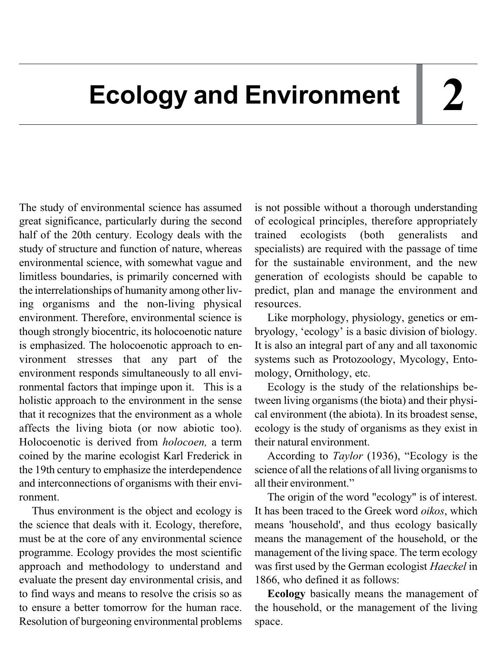# $\mathcal{L}$

## **Ecology and Environment**

The study of environmental science has assumed great significance, particularly during the second half of the 20th century. Ecology deals with the study of structure and function of nature, whereas environmental science, with somewhat vague and limitless boundaries, is primarily concerned with the interrelationships of humanity among other living organisms and the non-living physical environment. Therefore, environmental science is though strongly biocentric, its holocoenotic nature is emphasized. The holocoenotic approach to environment stresses that any part of the environment responds simultaneously to all environmental factors that impinge upon it. This is a holistic approach to the environment in the sense that it recognizes that the environment as a whole affects the living biota (or now abiotic too). Holocoenotic is derived from holocoen, a term coined by the marine ecologist Karl Frederick in the 19th century to emphasize the interdependence and interconnections of organisms with their environment.

Thus environment is the object and ecology is the science that deals with it. Ecology, therefore, must be at the core of any environmental science programme. Ecology provides the most scientific approach and methodology to understand and evaluate the present day environmental crisis, and to find ways and means to resolve the crisis so as to ensure a better tomorrow for the human race. Resolution of burgeoning environmental problems

is not possible without a thorough understanding of ecological principles, therefore appropriately generalists trained ecologists (both and specialists) are required with the passage of time for the sustainable environment, and the new generation of ecologists should be capable to predict, plan and manage the environment and resources.

Like morphology, physiology, genetics or embryology, 'ecology' is a basic division of biology. It is also an integral part of any and all taxonomic systems such as Protozoology, Mycology, Entomology, Ornithology, etc.

Ecology is the study of the relationships between living organisms (the biota) and their physical environment (the abiota). In its broadest sense, ecology is the study of organisms as they exist in their natural environment.

According to *Taylor* (1936), "Ecology is the science of all the relations of all living organisms to all their environment"

The origin of the word "ecology" is of interest. It has been traced to the Greek word oikos, which means 'household', and thus ecology basically means the management of the household, or the management of the living space. The term ecology was first used by the German ecologist Haeckel in 1866, who defined it as follows:

Ecology basically means the management of the household, or the management of the living space.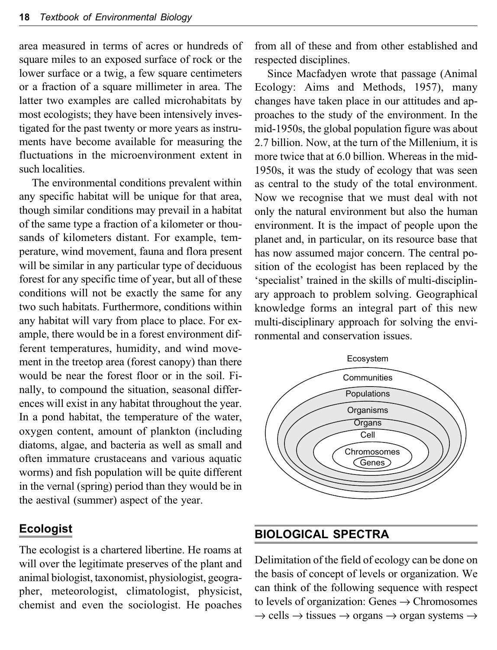area measured in terms of acres or hundreds of square miles to an exposed surface of rock or the lower surface or a twig, a few square centimeters or a fraction of a square millimeter in area. The latter two examples are called microhabitats by most ecologists; they have been intensively investigated for the past twenty or more years as instruments have become available for measuring the fluctuations in the microenvironment extent in such localities.

The environmental conditions prevalent within any specific habitat will be unique for that area, though similar conditions may prevail in a habitat of the same type a fraction of a kilometer or thousands of kilometers distant. For example, temperature, wind movement, fauna and flora present will be similar in any particular type of deciduous forest for any specific time of year, but all of these conditions will not be exactly the same for any two such habitats. Furthermore, conditions within any habitat will vary from place to place. For example, there would be in a forest environment different temperatures, humidity, and wind movement in the treetop area (forest canopy) than there would be near the forest floor or in the soil. Finally, to compound the situation, seasonal differences will exist in any habitat throughout the year. In a pond habitat, the temperature of the water, oxygen content, amount of plankton (including diatoms, algae, and bacteria as well as small and often immature crustaceans and various aquatic worms) and fish population will be quite different in the vernal (spring) period than they would be in the aestival (summer) aspect of the year.

#### **Ecologist**

The ecologist is a chartered libertine. He roams at will over the legitimate preserves of the plant and animal biologist, taxonomist, physiologist, geographer, meteorologist, climatologist, physicist, chemist and even the sociologist. He poaches

from all of these and from other established and respected disciplines.

Since Macfadyen wrote that passage (Animal Ecology: Aims and Methods, 1957), many changes have taken place in our attitudes and approaches to the study of the environment. In the mid-1950s, the global population figure was about 2.7 billion. Now, at the turn of the Millenium, it is more twice that at 6.0 billion. Whereas in the mid-1950s, it was the study of ecology that was seen as central to the study of the total environment. Now we recognise that we must deal with not only the natural environment but also the human environment. It is the impact of people upon the planet and, in particular, on its resource base that has now assumed major concern. The central position of the ecologist has been replaced by the 'specialist' trained in the skills of multi-disciplinary approach to problem solving. Geographical knowledge forms an integral part of this new multi-disciplinary approach for solving the environmental and conservation issues.



#### **BIOLOGICAL SPECTRA**

Delimitation of the field of ecology can be done on the basis of concept of levels or organization. We can think of the following sequence with respect to levels of organization: Genes  $\rightarrow$  Chromosomes  $\rightarrow$  cells  $\rightarrow$  tissues  $\rightarrow$  organs  $\rightarrow$  organ systems  $\rightarrow$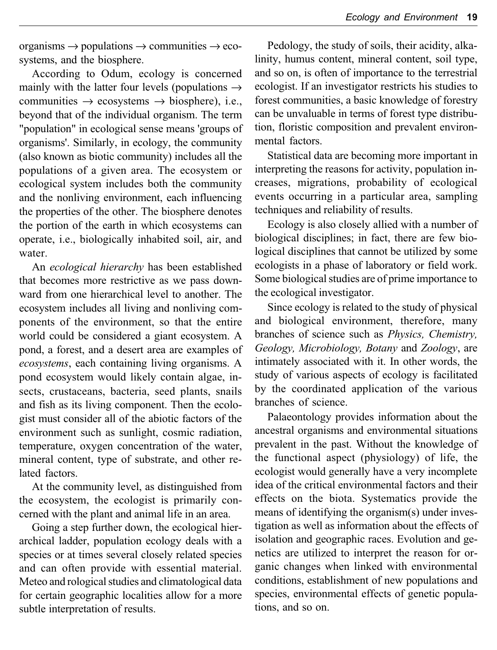organisms  $\rightarrow$  populations  $\rightarrow$  communities  $\rightarrow$  ecosystems, and the biosphere.

According to Odum, ecology is concerned mainly with the latter four levels (populations  $\rightarrow$ communities  $\rightarrow$  ecosystems  $\rightarrow$  biosphere), i.e., beyond that of the individual organism. The term "population" in ecological sense means 'groups of organisms'. Similarly, in ecology, the community (also known as biotic community) includes all the populations of a given area. The ecosystem or ecological system includes both the community and the nonliving environment, each influencing the properties of the other. The biosphere denotes the portion of the earth in which ecosystems can operate, i.e., biologically inhabited soil, air, and water.

An ecological hierarchy has been established that becomes more restrictive as we pass downward from one hierarchical level to another. The ecosystem includes all living and nonliving components of the environment, so that the entire world could be considered a giant ecosystem. A pond, a forest, and a desert area are examples of ecosystems, each containing living organisms. A pond ecosystem would likely contain algae, insects, crustaceans, bacteria, seed plants, snails and fish as its living component. Then the ecologist must consider all of the abiotic factors of the environment such as sunlight, cosmic radiation, temperature, oxygen concentration of the water, mineral content, type of substrate, and other related factors.

At the community level, as distinguished from the ecosystem, the ecologist is primarily concerned with the plant and animal life in an area.

Going a step further down, the ecological hierarchical ladder, population ecology deals with a species or at times several closely related species and can often provide with essential material. Meteo and rological studies and climatological data for certain geographic localities allow for a more subtle interpretation of results.

Pedology, the study of soils, their acidity, alkalinity, humus content, mineral content, soil type, and so on, is often of importance to the terrestrial ecologist. If an investigator restricts his studies to forest communities, a basic knowledge of forestry can be unvaluable in terms of forest type distribution, floristic composition and prevalent environmental factors.

Statistical data are becoming more important in interpreting the reasons for activity, population increases, migrations, probability of ecological events occurring in a particular area, sampling techniques and reliability of results.

Ecology is also closely allied with a number of biological disciplines; in fact, there are few biological disciplines that cannot be utilized by some ecologists in a phase of laboratory or field work. Some biological studies are of prime importance to the ecological investigator.

Since ecology is related to the study of physical and biological environment, therefore, many branches of science such as Physics, Chemistry, Geology, Microbiology, Botany and Zoology, are intimately associated with it. In other words, the study of various aspects of ecology is facilitated by the coordinated application of the various branches of science

Palaeontology provides information about the ancestral organisms and environmental situations prevalent in the past. Without the knowledge of the functional aspect (physiology) of life, the ecologist would generally have a very incomplete idea of the critical environmental factors and their effects on the biota. Systematics provide the means of identifying the organism(s) under investigation as well as information about the effects of isolation and geographic races. Evolution and genetics are utilized to interpret the reason for organic changes when linked with environmental conditions, establishment of new populations and species, environmental effects of genetic populations, and so on.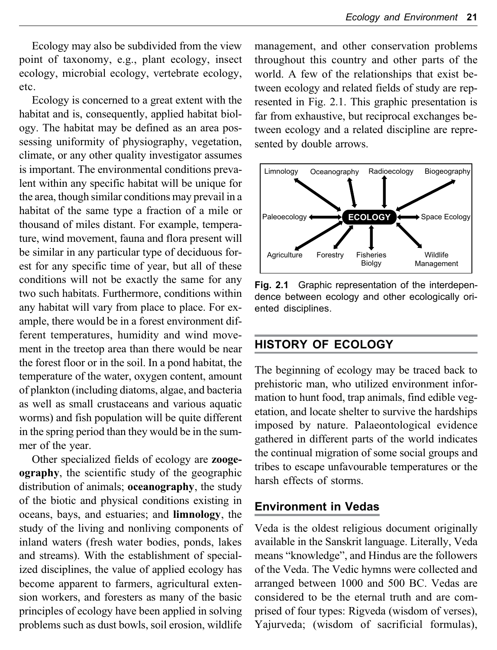Ecology may also be subdivided from the view point of taxonomy, e.g., plant ecology, insect ecology, microbial ecology, vertebrate ecology,  $etc.$ 

Ecology is concerned to a great extent with the habitat and is, consequently, applied habitat biology. The habitat may be defined as an area possessing uniformity of physiography, vegetation, climate, or any other quality investigator assumes is important. The environmental conditions prevalent within any specific habitat will be unique for the area, though similar conditions may prevail in a habitat of the same type a fraction of a mile or thousand of miles distant. For example, temperature, wind movement, fauna and flora present will be similar in any particular type of deciduous forest for any specific time of year, but all of these conditions will not be exactly the same for any two such habitats. Furthermore, conditions within any habitat will vary from place to place. For example, there would be in a forest environment different temperatures, humidity and wind movement in the treetop area than there would be near the forest floor or in the soil. In a pond habitat, the temperature of the water, oxygen content, amount of plankton (including diatoms, algae, and bacteria as well as small crustaceans and various aquatic worms) and fish population will be quite different in the spring period than they would be in the summer of the year.

Other specialized fields of ecology are zoogeography, the scientific study of the geographic distribution of animals; oceanography, the study of the biotic and physical conditions existing in oceans, bays, and estuaries; and limnology, the study of the living and nonliving components of inland waters (fresh water bodies, ponds, lakes and streams). With the establishment of specialized disciplines, the value of applied ecology has become apparent to farmers, agricultural extension workers, and foresters as many of the basic principles of ecology have been applied in solving problems such as dust bowls, soil erosion, wildlife

management, and other conservation problems throughout this country and other parts of the world. A few of the relationships that exist between ecology and related fields of study are represented in Fig. 2.1. This graphic presentation is far from exhaustive, but reciprocal exchanges between ecology and a related discipline are represented by double arrows.



Fig. 2.1 Graphic representation of the interdependence between ecology and other ecologically oriented disciplines.

#### **HISTORY OF ECOLOGY**

The beginning of ecology may be traced back to prehistoric man, who utilized environment information to hunt food, trap animals, find edible vegetation, and locate shelter to survive the hardships imposed by nature. Palaeontological evidence gathered in different parts of the world indicates the continual migration of some social groups and tribes to escape unfavourable temperatures or the harsh effects of storms.

#### **Environment in Vedas**

Veda is the oldest religious document originally available in the Sanskrit language. Literally, Veda means "knowledge", and Hindus are the followers of the Veda. The Vedic hymns were collected and arranged between 1000 and 500 BC. Vedas are considered to be the eternal truth and are comprised of four types: Rigveda (wisdom of verses), Yajurveda; (wisdom of sacrificial formulas),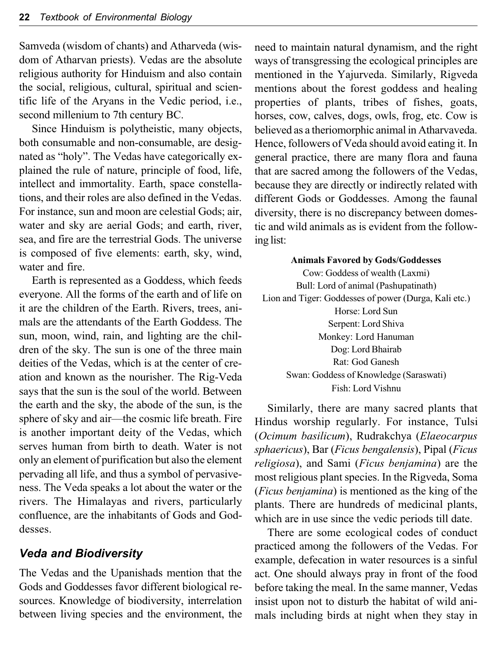Samveda (wisdom of chants) and Atharveda (wisdom of Atharvan priests). Vedas are the absolute religious authority for Hinduism and also contain the social, religious, cultural, spiritual and scientific life of the Aryans in the Vedic period, i.e., second millenium to 7th century BC.

Since Hinduism is polytheistic, many objects, both consumable and non-consumable, are designated as "holy". The Vedas have categorically explained the rule of nature, principle of food, life, intellect and immortality. Earth, space constellations, and their roles are also defined in the Vedas. For instance, sun and moon are celestial Gods; air. water and sky are aerial Gods; and earth, river, sea, and fire are the terrestrial Gods. The universe is composed of five elements: earth, sky, wind, water and fire.

Earth is represented as a Goddess, which feeds everyone. All the forms of the earth and of life on it are the children of the Earth. Rivers, trees, animals are the attendants of the Earth Goddess. The sun, moon, wind, rain, and lighting are the children of the sky. The sun is one of the three main deities of the Vedas, which is at the center of creation and known as the nourisher. The Rig-Veda says that the sun is the soul of the world. Between the earth and the sky, the abode of the sun, is the sphere of sky and air—the cosmic life breath. Fire is another important deity of the Vedas, which serves human from birth to death. Water is not only an element of purification but also the element pervading all life, and thus a symbol of pervasiveness. The Veda speaks a lot about the water or the rivers. The Himalayas and rivers, particularly confluence, are the inhabitants of Gods and Goddesses.

#### **Veda and Biodiversity**

The Vedas and the Upanishads mention that the Gods and Goddesses favor different biological resources. Knowledge of biodiversity, interrelation between living species and the environment, the

need to maintain natural dynamism, and the right ways of transgressing the ecological principles are mentioned in the Yajurveda. Similarly, Rigveda mentions about the forest goddess and healing properties of plants, tribes of fishes, goats, horses, cow, calves, dogs, owls, frog, etc. Cow is believed as a theriomorphic animal in Atharvaveda. Hence, followers of Veda should avoid eating it. In general practice, there are many flora and fauna that are sacred among the followers of the Vedas, because they are directly or indirectly related with different Gods or Goddesses. Among the faunal diversity, there is no discrepancy between domestic and wild animals as is evident from the following list:

#### **Animals Favored by Gods/Goddesses**

Cow: Goddess of wealth (Laxmi) Bull: Lord of animal (Pashupatinath) Lion and Tiger: Goddesses of power (Durga, Kali etc.) Horse: Lord Sun Serpent: Lord Shiva Monkey: Lord Hanuman Dog: Lord Bhairab Rat: God Ganesh Swan: Goddess of Knowledge (Saraswati) Fish: Lord Vishnu

Similarly, there are many sacred plants that Hindus worship regularly. For instance, Tulsi (Ocimum basilicum), Rudrakchya (Elaeocarpus sphaericus), Bar (Ficus bengalensis), Pipal (Ficus religiosa), and Sami (Ficus benjamina) are the most religious plant species. In the Rigveda, Soma (*Ficus benjamina*) is mentioned as the king of the plants. There are hundreds of medicinal plants, which are in use since the vedic periods till date.

There are some ecological codes of conduct practiced among the followers of the Vedas. For example, defecation in water resources is a sinful act. One should always pray in front of the food before taking the meal. In the same manner, Vedas insist upon not to disturb the habitat of wild animals including birds at night when they stay in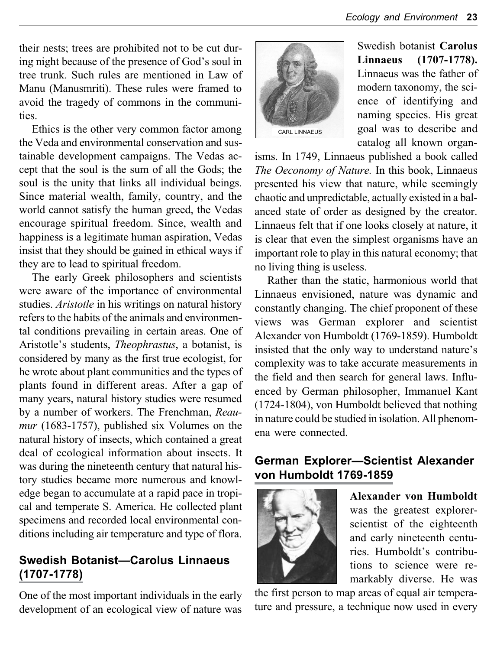their nests; trees are prohibited not to be cut during night because of the presence of God's soul in tree trunk. Such rules are mentioned in Law of Manu (Manusmriti). These rules were framed to avoid the tragedy of commons in the communities.

Ethics is the other very common factor among the Veda and environmental conservation and sustainable development campaigns. The Vedas accept that the soul is the sum of all the Gods; the soul is the unity that links all individual beings. Since material wealth, family, country, and the world cannot satisfy the human greed, the Vedas encourage spiritual freedom. Since, wealth and happiness is a legitimate human aspiration, Vedas insist that they should be gained in ethical ways if they are to lead to spiritual freedom.

The early Greek philosophers and scientists were aware of the importance of environmental studies. Aristotle in his writings on natural history refers to the habits of the animals and environmental conditions prevailing in certain areas. One of Aristotle's students, *Theophrastus*, a botanist, is considered by many as the first true ecologist, for he wrote about plant communities and the types of plants found in different areas. After a gap of many years, natural history studies were resumed by a number of workers. The Frenchman, Reau $mur$  (1683-1757), published six Volumes on the natural history of insects, which contained a great deal of ecological information about insects. It was during the nineteenth century that natural history studies became more numerous and knowledge began to accumulate at a rapid pace in tropical and temperate S. America. He collected plant specimens and recorded local environmental conditions including air temperature and type of flora.

#### Swedish Botanist-Carolus Linnaeus  $(1707 - 1778)$

One of the most important individuals in the early development of an ecological view of nature was



Swedish botanist Carolus Linnaeus  $(1707 - 1778)$ . Linnaeus was the father of modern taxonomy, the science of identifying and naming species. His great goal was to describe and catalog all known organ-

isms. In 1749, Linnaeus published a book called The Oeconomy of Nature. In this book, Linnaeus presented his view that nature, while seemingly chaotic and unpredictable, actually existed in a balanced state of order as designed by the creator. Linnaeus felt that if one looks closely at nature, it is clear that even the simplest organisms have an important role to play in this natural economy; that no living thing is useless.

Rather than the static, harmonious world that Linnaeus envisioned, nature was dynamic and constantly changing. The chief proponent of these views was German explorer and scientist Alexander von Humboldt (1769-1859). Humboldt insisted that the only way to understand nature's complexity was to take accurate measurements in the field and then search for general laws. Influenced by German philosopher, Immanuel Kant (1724-1804), von Humboldt believed that nothing in nature could be studied in isolation. All phenomena were connected

### **German Explorer-Scientist Alexander** von Humboldt 1769-1859



Alexander von Humboldt was the greatest explorerscientist of the eighteenth and early nineteenth centuries. Humboldt's contributions to science were remarkably diverse. He was

the first person to map areas of equal air temperature and pressure, a technique now used in every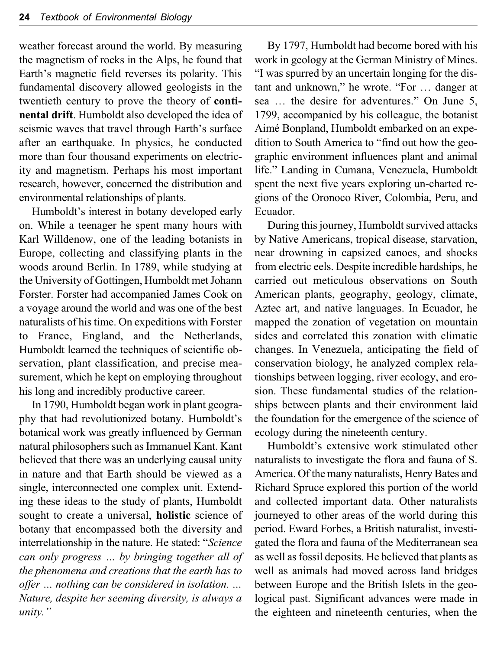weather forecast around the world. By measuring the magnetism of rocks in the Alps, he found that Earth's magnetic field reverses its polarity. This fundamental discovery allowed geologists in the twentieth century to prove the theory of continental drift. Humboldt also developed the idea of seismic waves that travel through Earth's surface after an earthquake. In physics, he conducted more than four thousand experiments on electricity and magnetism. Perhaps his most important research, however, concerned the distribution and environmental relationships of plants.

Humboldt's interest in botany developed early on. While a teenager he spent many hours with Karl Willdenow, one of the leading botanists in Europe, collecting and classifying plants in the woods around Berlin. In 1789, while studying at the University of Gottingen, Humboldt met Johann Forster. Forster had accompanied James Cook on a voyage around the world and was one of the best naturalists of his time. On expeditions with Forster to France, England, and the Netherlands, Humboldt learned the techniques of scientific observation, plant classification, and precise measurement, which he kept on employing throughout his long and incredibly productive career.

In 1790, Humboldt began work in plant geography that had revolutionized botany. Humboldt's botanical work was greatly influenced by German natural philosophers such as Immanuel Kant. Kant believed that there was an underlying causal unity in nature and that Earth should be viewed as a single, interconnected one complex unit. Extending these ideas to the study of plants, Humboldt sought to create a universal, **holistic** science of botany that encompassed both the diversity and interrelationship in the nature. He stated: "Science can only progress ... by bringing together all of the phenomena and creations that the earth has to offer ... nothing can be considered in isolation. ... Nature, despite her seeming diversity, is always a unity."

By 1797, Humboldt had become bored with his work in geology at the German Ministry of Mines. "I was spurred by an uncertain longing for the distant and unknown," he wrote. "For ... danger at sea ... the desire for adventures." On June 5, 1799, accompanied by his colleague, the botanist Aimé Bonpland, Humboldt embarked on an expedition to South America to "find out how the geographic environment influences plant and animal life." Landing in Cumana, Venezuela, Humboldt spent the next five years exploring un-charted regions of the Oronoco River, Colombia, Peru, and Ecuador.

During this journey, Humboldt survived attacks by Native Americans, tropical disease, starvation, near drowning in capsized canoes, and shocks from electric eels. Despite incredible hardships, he carried out meticulous observations on South American plants, geography, geology, climate, Aztec art, and native languages. In Ecuador, he mapped the zonation of vegetation on mountain sides and correlated this zonation with climatic changes. In Venezuela, anticipating the field of conservation biology, he analyzed complex relationships between logging, river ecology, and erosion. These fundamental studies of the relationships between plants and their environment laid the foundation for the emergence of the science of ecology during the nineteenth century.

Humboldt's extensive work stimulated other naturalists to investigate the flora and fauna of S. America. Of the many naturalists, Henry Bates and Richard Spruce explored this portion of the world and collected important data. Other naturalists journeyed to other areas of the world during this period. Eward Forbes, a British naturalist, investigated the flora and fauna of the Mediterranean sea as well as fossil deposits. He believed that plants as well as animals had moved across land bridges between Europe and the British Islets in the geological past. Significant advances were made in the eighteen and nineteenth centuries, when the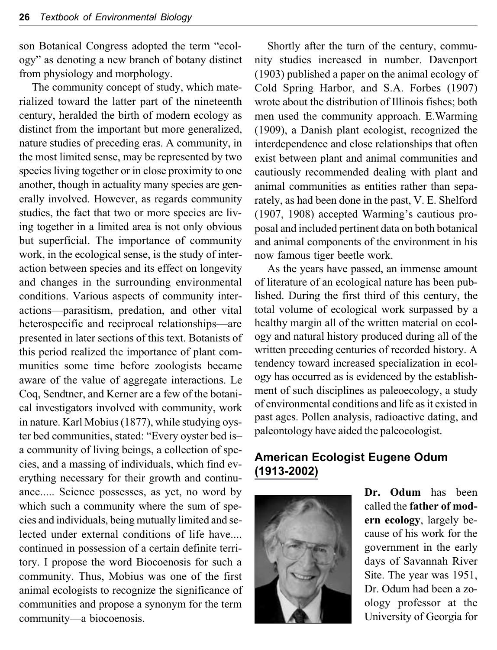son Botanical Congress adopted the term "ecology" as denoting a new branch of botany distinct from physiology and morphology.

The community concept of study, which materialized toward the latter part of the nineteenth century, heralded the birth of modern ecology as distinct from the important but more generalized, nature studies of preceding eras. A community, in the most limited sense, may be represented by two species living together or in close proximity to one another, though in actuality many species are generally involved. However, as regards community studies, the fact that two or more species are living together in a limited area is not only obvious but superficial. The importance of community work, in the ecological sense, is the study of interaction between species and its effect on longevity and changes in the surrounding environmental conditions. Various aspects of community interactions-parasitism, predation, and other vital heterospecific and reciprocal relationships—are presented in later sections of this text. Botanists of this period realized the importance of plant communities some time before zoologists became aware of the value of aggregate interactions. Le Coq, Sendtner, and Kerner are a few of the botanical investigators involved with community, work in nature. Karl Mobius (1877), while studying oyster bed communities, stated: "Every oyster bed isa community of living beings, a collection of species, and a massing of individuals, which find everything necessary for their growth and continuance..... Science possesses, as yet, no word by which such a community where the sum of species and individuals, being mutually limited and selected under external conditions of life have.... continued in possession of a certain definite territory. I propose the word Biocoenosis for such a community. Thus, Mobius was one of the first animal ecologists to recognize the significance of communities and propose a synonym for the term community-a biocoenosis.

Shortly after the turn of the century, community studies increased in number. Davenport (1903) published a paper on the animal ecology of Cold Spring Harbor, and S.A. Forbes (1907) wrote about the distribution of Illinois fishes; both men used the community approach. E.Warming (1909), a Danish plant ecologist, recognized the interdependence and close relationships that often exist between plant and animal communities and cautiously recommended dealing with plant and animal communities as entities rather than separately, as had been done in the past, V. E. Shelford (1907, 1908) accepted Warming's cautious proposal and included pertinent data on both botanical and animal components of the environment in his now famous tiger beetle work.

As the years have passed, an immense amount of literature of an ecological nature has been published. During the first third of this century, the total volume of ecological work surpassed by a healthy margin all of the written material on ecology and natural history produced during all of the written preceding centuries of recorded history. A tendency toward increased specialization in ecology has occurred as is evidenced by the establishment of such disciplines as paleoecology, a study of environmental conditions and life as it existed in past ages. Pollen analysis, radioactive dating, and paleontology have aided the paleocologist.

#### **American Ecologist Eugene Odum**  $(1913 - 2002)$



Dr. Odum has been called the father of modern ecology, largely because of his work for the government in the early days of Savannah River Site. The year was 1951, Dr. Odum had been a zoology professor at the University of Georgia for